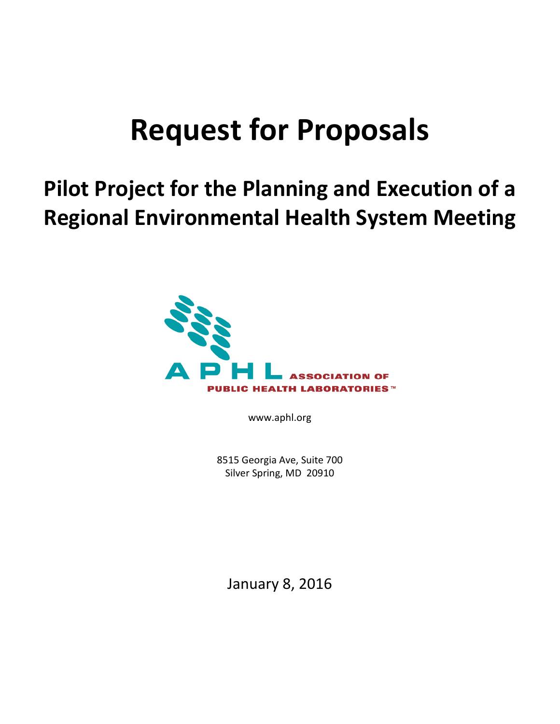# **Request for Proposals**

# **Pilot Project for the Planning and Execution of a Regional Environmental Health System Meeting**



www.aphl.org

8515 Georgia Ave, Suite 700 Silver Spring, MD 20910

January 8, 2016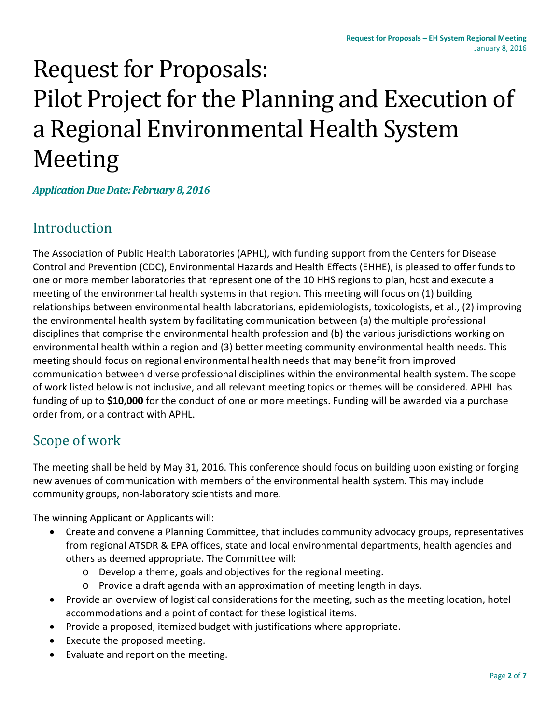# Request for Proposals: Pilot Project for the Planning and Execution of a Regional Environmental Health System Meeting

*Application Due Date: February8, 2016*

## Introduction

The Association of Public Health Laboratories (APHL), with funding support from the Centers for Disease Control and Prevention (CDC), Environmental Hazards and Health Effects (EHHE), is pleased to offer funds to one or more member laboratories that represent one of the 10 HHS regions to plan, host and execute a meeting of the environmental health systems in that region. This meeting will focus on (1) building relationships between environmental health laboratorians, epidemiologists, toxicologists, et al., (2) improving the environmental health system by facilitating communication between (a) the multiple professional disciplines that comprise the environmental health profession and (b) the various jurisdictions working on environmental health within a region and (3) better meeting community environmental health needs. This meeting should focus on regional environmental health needs that may benefit from improved communication between diverse professional disciplines within the environmental health system. The scope of work listed below is not inclusive, and all relevant meeting topics or themes will be considered. APHL has funding of up to **\$10,000** for the conduct of one or more meetings. Funding will be awarded via a purchase order from, or a contract with APHL.

## Scope of work

The meeting shall be held by May 31, 2016. This conference should focus on building upon existing or forging new avenues of communication with members of the environmental health system. This may include community groups, non-laboratory scientists and more.

The winning Applicant or Applicants will:

- Create and convene a Planning Committee, that includes community advocacy groups, representatives from regional ATSDR & EPA offices, state and local environmental departments, health agencies and others as deemed appropriate. The Committee will:
	- o Develop a theme, goals and objectives for the regional meeting.
	- o Provide a draft agenda with an approximation of meeting length in days.
- Provide an overview of logistical considerations for the meeting, such as the meeting location, hotel accommodations and a point of contact for these logistical items.
- Provide a proposed, itemized budget with justifications where appropriate.
- Execute the proposed meeting.
- Evaluate and report on the meeting.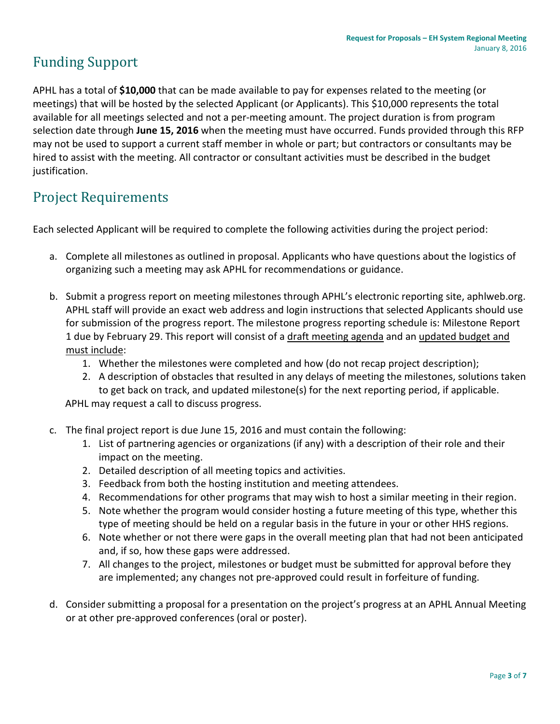# Funding Support

APHL has a total of **\$10,000** that can be made available to pay for expenses related to the meeting (or meetings) that will be hosted by the selected Applicant (or Applicants). This \$10,000 represents the total available for all meetings selected and not a per-meeting amount. The project duration is from program selection date through **June 15, 2016** when the meeting must have occurred. Funds provided through this RFP may not be used to support a current staff member in whole or part; but contractors or consultants may be hired to assist with the meeting. All contractor or consultant activities must be described in the budget justification.

# Project Requirements

Each selected Applicant will be required to complete the following activities during the project period:

- a. Complete all milestones as outlined in proposal. Applicants who have questions about the logistics of organizing such a meeting may ask APHL for recommendations or guidance.
- b. Submit a progress report on meeting milestones through APHL's electronic reporting site, aphlweb.org. APHL staff will provide an exact web address and login instructions that selected Applicants should use for submission of the progress report. The milestone progress reporting schedule is: Milestone Report 1 due by February 29. This report will consist of a draft meeting agenda and an updated budget and must include:
	- 1. Whether the milestones were completed and how (do not recap project description);
	- 2. A description of obstacles that resulted in any delays of meeting the milestones, solutions taken to get back on track, and updated milestone(s) for the next reporting period, if applicable.

APHL may request a call to discuss progress.

- c. The final project report is due June 15, 2016 and must contain the following:
	- 1. List of partnering agencies or organizations (if any) with a description of their role and their impact on the meeting.
	- 2. Detailed description of all meeting topics and activities.
	- 3. Feedback from both the hosting institution and meeting attendees.
	- 4. Recommendations for other programs that may wish to host a similar meeting in their region.
	- 5. Note whether the program would consider hosting a future meeting of this type, whether this type of meeting should be held on a regular basis in the future in your or other HHS regions.
	- 6. Note whether or not there were gaps in the overall meeting plan that had not been anticipated and, if so, how these gaps were addressed.
	- 7. All changes to the project, milestones or budget must be submitted for approval before they are implemented; any changes not pre-approved could result in forfeiture of funding.
- d. Consider submitting a proposal for a presentation on the project's progress at an APHL Annual Meeting or at other pre-approved conferences (oral or poster).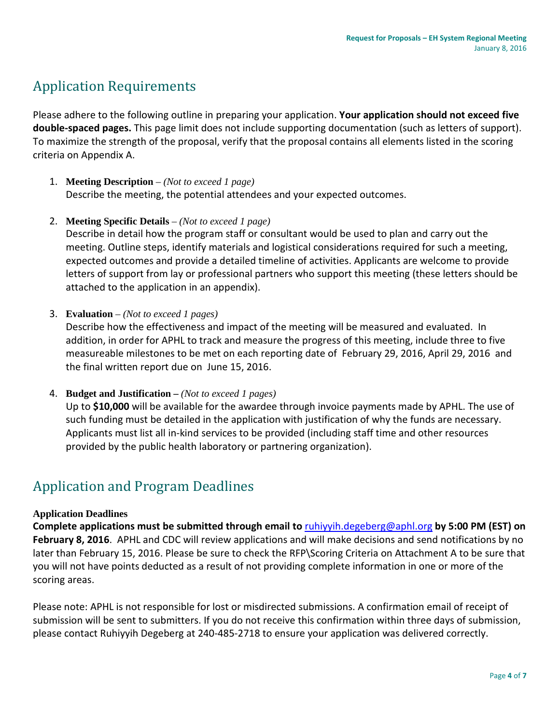# Application Requirements

Please adhere to the following outline in preparing your application. **Your application should not exceed five double-spaced pages.** This page limit does not include supporting documentation (such as letters of support). To maximize the strength of the proposal, verify that the proposal contains all elements listed in the scoring criteria on Appendix A.

- 1. **Meeting Description** *(Not to exceed 1 page)* Describe the meeting, the potential attendees and your expected outcomes.
- 2. **Meeting Specific Details** *– (Not to exceed 1 page)*

Describe in detail how the program staff or consultant would be used to plan and carry out the meeting. Outline steps, identify materials and logistical considerations required for such a meeting, expected outcomes and provide a detailed timeline of activities. Applicants are welcome to provide letters of support from lay or professional partners who support this meeting (these letters should be attached to the application in an appendix).

3. **Evaluation** *– (Not to exceed 1 pages)* 

Describe how the effectiveness and impact of the meeting will be measured and evaluated. In addition, in order for APHL to track and measure the progress of this meeting, include three to five measureable milestones to be met on each reporting date of February 29, 2016, April 29, 2016 and the final written report due on June 15, 2016.

4. **Budget and Justification –** *(Not to exceed 1 pages)*

Up to **\$10,000** will be available for the awardee through invoice payments made by APHL. The use of such funding must be detailed in the application with justification of why the funds are necessary. Applicants must list all in-kind services to be provided (including staff time and other resources provided by the public health laboratory or partnering organization).

## Application and Program Deadlines

#### **Application Deadlines**

**Complete applications must be submitted through email to** [ruhiyyih.degeberg@aphl.org](mailto:ruhiyyih.degeberg@aphl.org) **by 5:00 PM (EST) on February 8, 2016**. APHL and CDC will review applications and will make decisions and send notifications by no later than February 15, 2016. Please be sure to check the RFP\Scoring Criteria on Attachment A to be sure that you will not have points deducted as a result of not providing complete information in one or more of the scoring areas.

Please note: APHL is not responsible for lost or misdirected submissions. A confirmation email of receipt of submission will be sent to submitters. If you do not receive this confirmation within three days of submission, please contact Ruhiyyih Degeberg at 240-485-2718 to ensure your application was delivered correctly.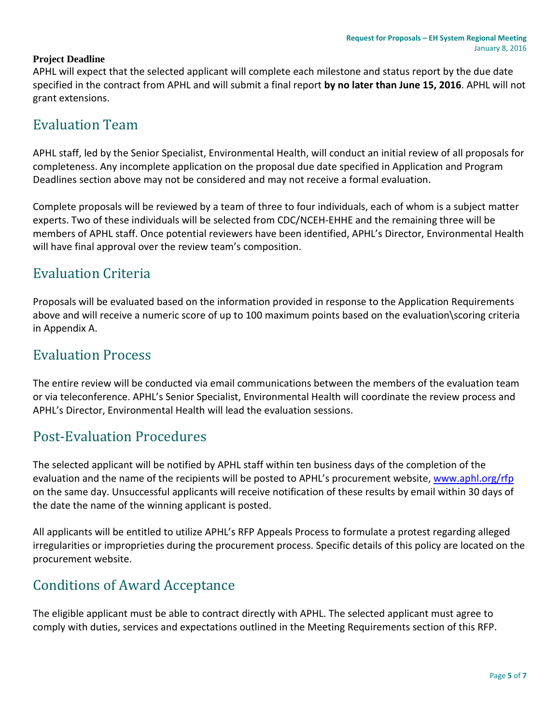### **Project Deadline**

APHL will expect that the selected applicant will complete each milestone and status report by the due date specified in the contract from APHL and will submit a final report **by no later than June 15, 2016**. APHL will not grant extensions.

## Evaluation Team

APHL staff, led by the Senior Specialist, Environmental Health, will conduct an initial review of all proposals for completeness. Any incomplete application on the proposal due date specified in Application and Program Deadlines section above may not be considered and may not receive a formal evaluation.

Complete proposals will be reviewed by a team of three to four individuals, each of whom is a subject matter experts. Two of these individuals will be selected from CDC/NCEH-EHHE and the remaining three will be members of APHL staff. Once potential reviewers have been identified, APHL's Director, Environmental Health will have final approval over the review team's composition.

## Evaluation Criteria

Proposals will be evaluated based on the information provided in response to the Application Requirements above and will receive a numeric score of up to 100 maximum points based on the evaluation\scoring criteria in Appendix A.

## Evaluation Process

The entire review will be conducted via email communications between the members of the evaluation team or via teleconference. APHL's Senior Specialist, Environmental Health will coordinate the review process and APHL's Director, Environmental Health will lead the evaluation sessions.

## Post-Evaluation Procedures

The selected applicant will be notified by APHL staff within ten business days of the completion of the evaluation and the name of the recipients will be posted to APHL's procurement website, [www.aphl.org/rfp](http://www.aphl.org/rfp) on the same day. Unsuccessful applicants will receive notification of these results by email within 30 days of the date the name of the winning applicant is posted.

All applicants will be entitled to utilize APHL's RFP Appeals Process to formulate a protest regarding alleged irregularities or improprieties during the procurement process. Specific details of this policy are located on the procurement website.

## Conditions of Award Acceptance

The eligible applicant must be able to contract directly with APHL. The selected applicant must agree to comply with duties, services and expectations outlined in the Meeting Requirements section of this RFP.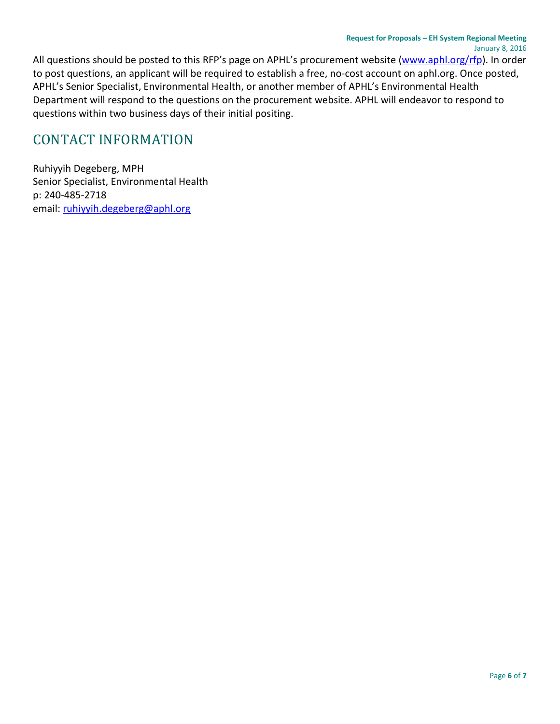All questions should be posted to this RFP's page on APHL's procurement website [\(www.aphl.org/rfp\)](http://www.aphl.org/rfp). In order to post questions, an applicant will be required to establish a free, no-cost account on aphl.org. Once posted, APHL's Senior Specialist, Environmental Health, or another member of APHL's Environmental Health Department will respond to the questions on the procurement website. APHL will endeavor to respond to questions within two business days of their initial positing.

## CONTACT INFORMATION

Ruhiyyih Degeberg, MPH Senior Specialist, Environmental Health p: 240-485-2718 email[: ruhiyyih.degeberg@aphl.org](mailto:ruhiyyih.degeberg@aphl.org)